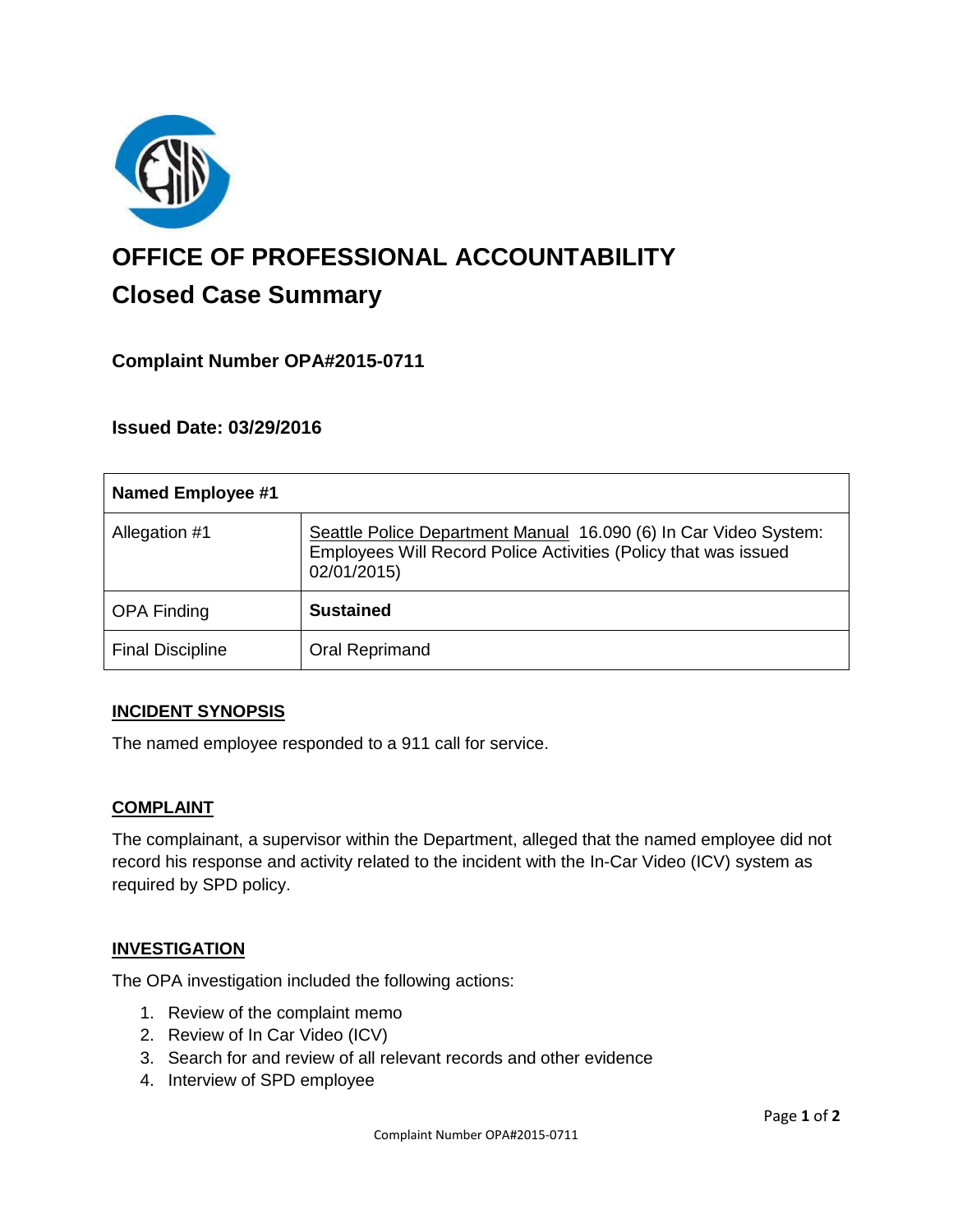

# **OFFICE OF PROFESSIONAL ACCOUNTABILITY Closed Case Summary**

# **Complaint Number OPA#2015-0711**

**Issued Date: 03/29/2016**

| <b>Named Employee #1</b> |                                                                                                                                                    |
|--------------------------|----------------------------------------------------------------------------------------------------------------------------------------------------|
| Allegation #1            | Seattle Police Department Manual 16.090 (6) In Car Video System:<br>Employees Will Record Police Activities (Policy that was issued<br>02/01/2015) |
| <b>OPA Finding</b>       | <b>Sustained</b>                                                                                                                                   |
| <b>Final Discipline</b>  | Oral Reprimand                                                                                                                                     |

#### **INCIDENT SYNOPSIS**

The named employee responded to a 911 call for service.

#### **COMPLAINT**

The complainant, a supervisor within the Department, alleged that the named employee did not record his response and activity related to the incident with the In-Car Video (ICV) system as required by SPD policy.

#### **INVESTIGATION**

The OPA investigation included the following actions:

- 1. Review of the complaint memo
- 2. Review of In Car Video (ICV)
- 3. Search for and review of all relevant records and other evidence
- 4. Interview of SPD employee